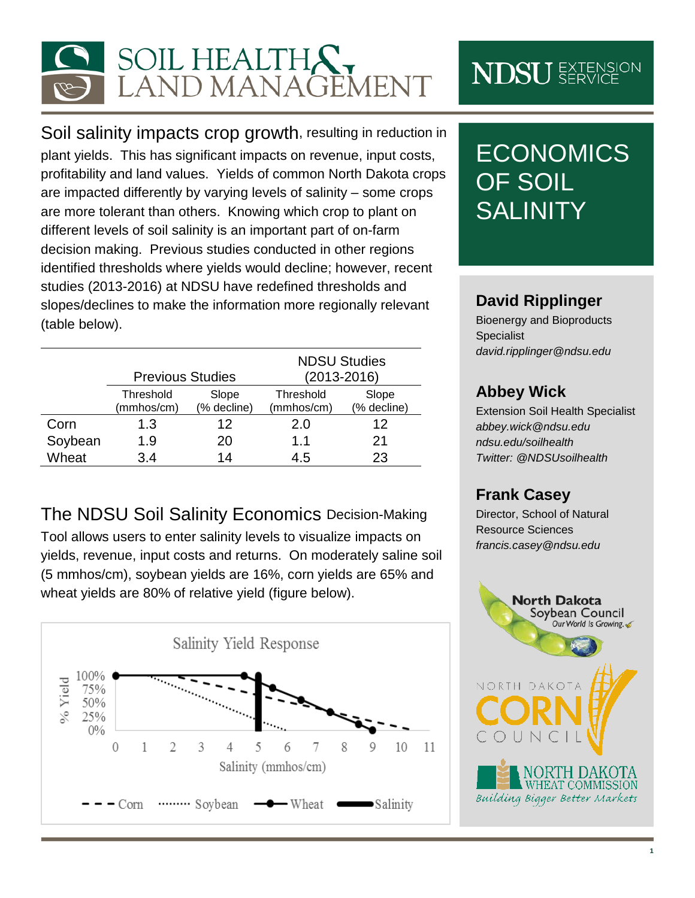

Soil salinity impacts crop growth, resulting in reduction in plant yields. This has significant impacts on revenue, input costs, profitability and land values. Yields of common North Dakota crops are impacted differently by varying levels of salinity – some crops are more tolerant than others. Knowing which crop to plant on different levels of soil salinity is an important part of on-farm decision making. Previous studies conducted in other regions identified thresholds where yields would decline; however, recent studies (2013-2016) at NDSU have redefined thresholds and slopes/declines to make the information more regionally relevant (table below).

|         | <b>Previous Studies</b> |                      | <b>NDSU Studies</b><br>(2013-2016) |                      |
|---------|-------------------------|----------------------|------------------------------------|----------------------|
|         | Threshold<br>(mmhos/cm) | Slope<br>(% decline) | Threshold<br>(mmhos/cm)            | Slope<br>(% decline) |
| Corn    | 1.3                     | 12                   | 2.0                                | 12                   |
| Soybean | 1.9                     | 20                   | 11                                 | 21                   |
| Wheat   | 3.4                     | 14                   | 4.5                                | 23                   |

The NDSU Soil Salinity Economics Decision-Making

Tool allows users to enter salinity levels to visualize impacts on yields, revenue, input costs and returns. On moderately saline soil (5 mmhos/cm), soybean yields are 16%, corn yields are 65% and wheat yields are 80% of relative yield (figure below).



# **NDSU** EXTENSION

## **ECONOMICS** OF SOIL **SALINITY**

#### **David Ripplinger**

Bioenergy and Bioproducts Specialist *david.ripplinger@ndsu.edu*

#### **Abbey Wick**

Extension Soil Health Specialist *[abbey.wick@ndsu.edu](mailto:abbey.wick@ndsu.edu) ndsu.edu/soilhealth Twitter: @NDSUsoilhealth*

#### **Frank Casey**

Director, School of Natural Resource Sciences *francis.casey@ndsu.edu*